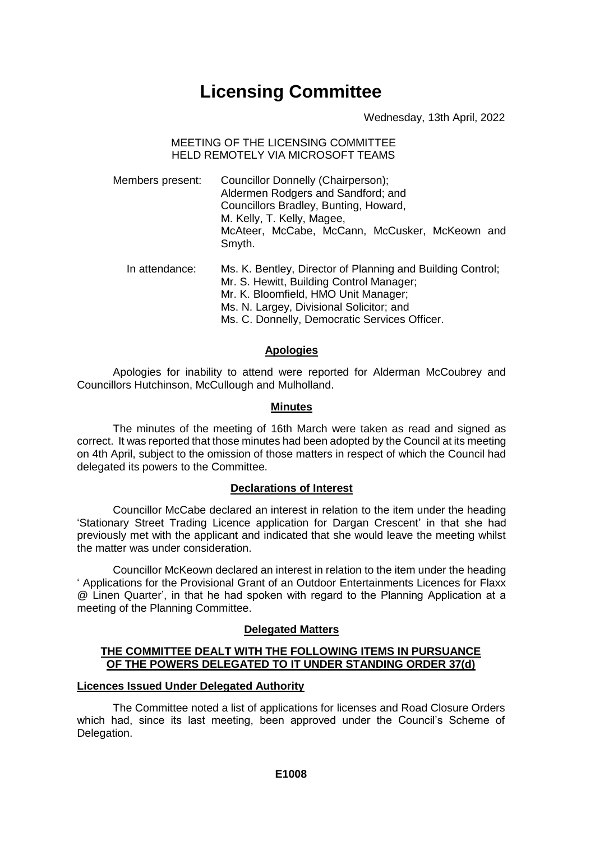# **Licensing Committee**

Wednesday, 13th April, 2022

## MEETING OF THE LICENSING COMMITTEE HELD REMOTELY VIA MICROSOFT TEAMS

- Members present: Councillor Donnelly (Chairperson); Aldermen Rodgers and Sandford; and Councillors Bradley, Bunting, Howard, M. Kelly, T. Kelly, Magee, McAteer, McCabe, McCann, McCusker, McKeown and Smyth.
	- In attendance: Ms. K. Bentley, Director of Planning and Building Control; Mr. S. Hewitt, Building Control Manager; Mr. K. Bloomfield, HMO Unit Manager; Ms. N. Largey, Divisional Solicitor; and Ms. C. Donnelly, Democratic Services Officer.

# **Apologies**

Apologies for inability to attend were reported for Alderman McCoubrey and Councillors Hutchinson, McCullough and Mulholland.

# **Minutes**

The minutes of the meeting of 16th March were taken as read and signed as correct. It was reported that those minutes had been adopted by the Council at its meeting on 4th April, subject to the omission of those matters in respect of which the Council had delegated its powers to the Committee.

# **Declarations of Interest**

Councillor McCabe declared an interest in relation to the item under the heading 'Stationary Street Trading Licence application for Dargan Crescent' in that she had previously met with the applicant and indicated that she would leave the meeting whilst the matter was under consideration.

Councillor McKeown declared an interest in relation to the item under the heading ' Applications for the Provisional Grant of an Outdoor Entertainments Licences for Flaxx @ Linen Quarter', in that he had spoken with regard to the Planning Application at a meeting of the Planning Committee.

# **Delegated Matters**

# **THE COMMITTEE DEALT WITH THE FOLLOWING ITEMS IN PURSUANCE OF THE POWERS DELEGATED TO IT UNDER STANDING ORDER 37(d)**

# **Licences Issued Under Delegated Authority**

The Committee noted a list of applications for licenses and Road Closure Orders which had, since its last meeting, been approved under the Council's Scheme of Delegation.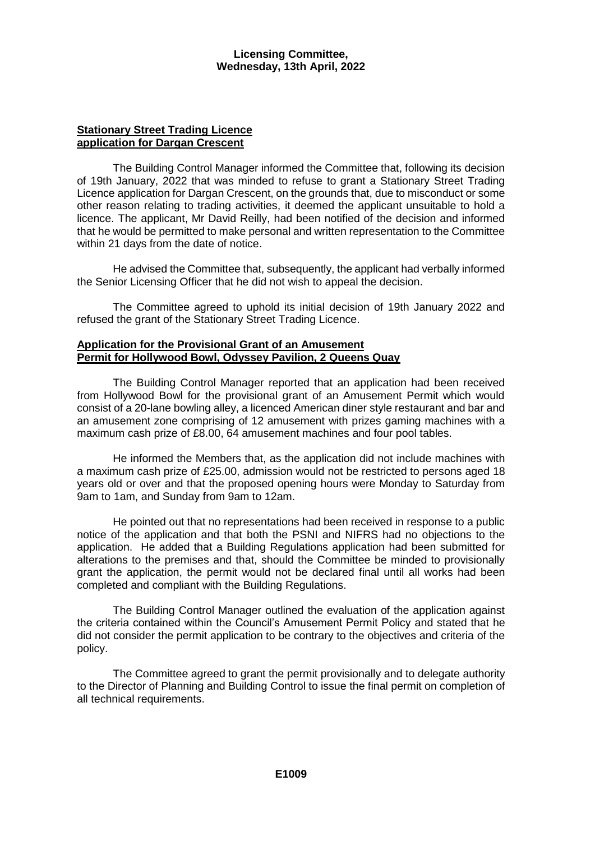## **Stationary Street Trading Licence application for Dargan Crescent**

The Building Control Manager informed the Committee that, following its decision of 19th January, 2022 that was minded to refuse to grant a Stationary Street Trading Licence application for Dargan Crescent, on the grounds that, due to misconduct or some other reason relating to trading activities, it deemed the applicant unsuitable to hold a licence. The applicant, Mr David Reilly, had been notified of the decision and informed that he would be permitted to make personal and written representation to the Committee within 21 days from the date of notice.

He advised the Committee that, subsequently, the applicant had verbally informed the Senior Licensing Officer that he did not wish to appeal the decision.

The Committee agreed to uphold its initial decision of 19th January 2022 and refused the grant of the Stationary Street Trading Licence.

#### **Application for the Provisional Grant of an Amusement Permit for Hollywood Bowl, Odyssey Pavilion, 2 Queens Quay**

The Building Control Manager reported that an application had been received from Hollywood Bowl for the provisional grant of an Amusement Permit which would consist of a 20-lane bowling alley, a licenced American diner style restaurant and bar and an amusement zone comprising of 12 amusement with prizes gaming machines with a maximum cash prize of £8.00, 64 amusement machines and four pool tables.

He informed the Members that, as the application did not include machines with a maximum cash prize of £25.00, admission would not be restricted to persons aged 18 years old or over and that the proposed opening hours were Monday to Saturday from 9am to 1am, and Sunday from 9am to 12am.

He pointed out that no representations had been received in response to a public notice of the application and that both the PSNI and NIFRS had no objections to the application. He added that a Building Regulations application had been submitted for alterations to the premises and that, should the Committee be minded to provisionally grant the application, the permit would not be declared final until all works had been completed and compliant with the Building Regulations.

The Building Control Manager outlined the evaluation of the application against the criteria contained within the Council's Amusement Permit Policy and stated that he did not consider the permit application to be contrary to the objectives and criteria of the policy.

The Committee agreed to grant the permit provisionally and to delegate authority to the Director of Planning and Building Control to issue the final permit on completion of all technical requirements.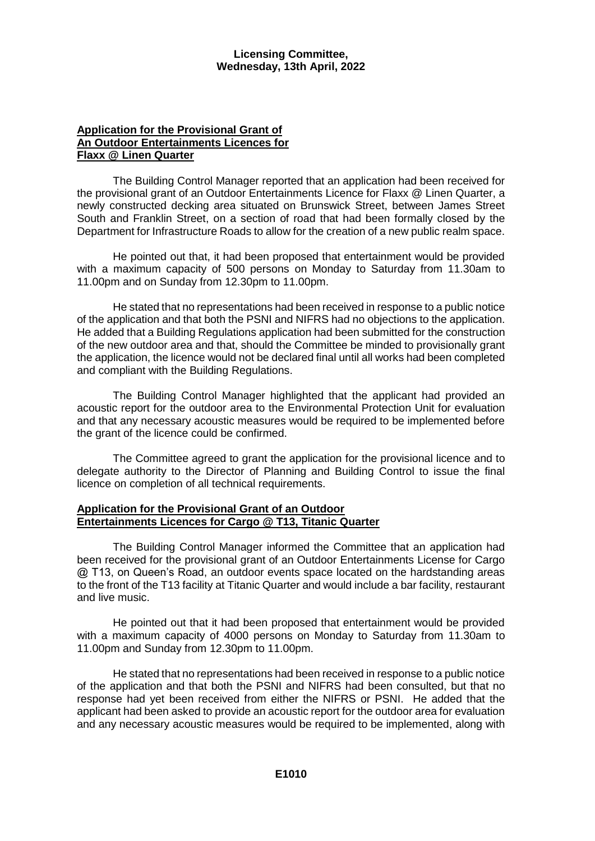## **Application for the Provisional Grant of An Outdoor Entertainments Licences for Flaxx @ Linen Quarter**

The Building Control Manager reported that an application had been received for the provisional grant of an Outdoor Entertainments Licence for Flaxx @ Linen Quarter, a newly constructed decking area situated on Brunswick Street, between James Street South and Franklin Street, on a section of road that had been formally closed by the Department for Infrastructure Roads to allow for the creation of a new public realm space.

He pointed out that, it had been proposed that entertainment would be provided with a maximum capacity of 500 persons on Monday to Saturday from 11.30am to 11.00pm and on Sunday from 12.30pm to 11.00pm.

He stated that no representations had been received in response to a public notice of the application and that both the PSNI and NIFRS had no objections to the application. He added that a Building Regulations application had been submitted for the construction of the new outdoor area and that, should the Committee be minded to provisionally grant the application, the licence would not be declared final until all works had been completed and compliant with the Building Regulations.

The Building Control Manager highlighted that the applicant had provided an acoustic report for the outdoor area to the Environmental Protection Unit for evaluation and that any necessary acoustic measures would be required to be implemented before the grant of the licence could be confirmed.

The Committee agreed to grant the application for the provisional licence and to delegate authority to the Director of Planning and Building Control to issue the final licence on completion of all technical requirements.

## **Application for the Provisional Grant of an Outdoor Entertainments Licences for Cargo @ T13, Titanic Quarter**

The Building Control Manager informed the Committee that an application had been received for the provisional grant of an Outdoor Entertainments License for Cargo @ T13, on Queen's Road, an outdoor events space located on the hardstanding areas to the front of the T13 facility at Titanic Quarter and would include a bar facility, restaurant and live music.

He pointed out that it had been proposed that entertainment would be provided with a maximum capacity of 4000 persons on Monday to Saturday from 11.30am to 11.00pm and Sunday from 12.30pm to 11.00pm.

He stated that no representations had been received in response to a public notice of the application and that both the PSNI and NIFRS had been consulted, but that no response had yet been received from either the NIFRS or PSNI. He added that the applicant had been asked to provide an acoustic report for the outdoor area for evaluation and any necessary acoustic measures would be required to be implemented, along with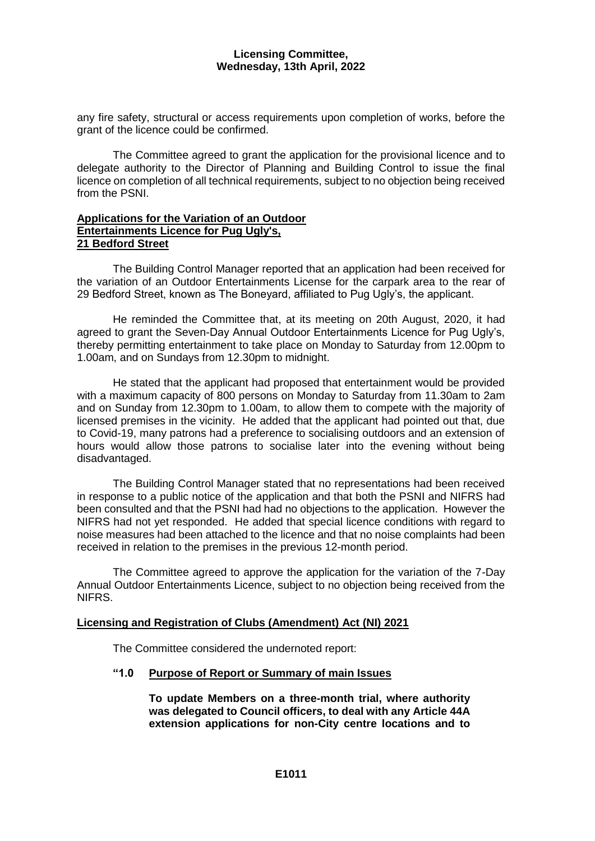any fire safety, structural or access requirements upon completion of works, before the grant of the licence could be confirmed.

The Committee agreed to grant the application for the provisional licence and to delegate authority to the Director of Planning and Building Control to issue the final licence on completion of all technical requirements, subject to no objection being received from the PSNI.

## **Applications for the Variation of an Outdoor Entertainments Licence for Pug Ugly's, 21 Bedford Street**

The Building Control Manager reported that an application had been received for the variation of an Outdoor Entertainments License for the carpark area to the rear of 29 Bedford Street, known as The Boneyard, affiliated to Pug Ugly's, the applicant.

He reminded the Committee that, at its meeting on 20th August, 2020, it had agreed to grant the Seven-Day Annual Outdoor Entertainments Licence for Pug Ugly's, thereby permitting entertainment to take place on Monday to Saturday from 12.00pm to 1.00am, and on Sundays from 12.30pm to midnight.

He stated that the applicant had proposed that entertainment would be provided with a maximum capacity of 800 persons on Monday to Saturday from 11.30am to 2am and on Sunday from 12.30pm to 1.00am, to allow them to compete with the majority of licensed premises in the vicinity. He added that the applicant had pointed out that, due to Covid-19, many patrons had a preference to socialising outdoors and an extension of hours would allow those patrons to socialise later into the evening without being disadvantaged.

The Building Control Manager stated that no representations had been received in response to a public notice of the application and that both the PSNI and NIFRS had been consulted and that the PSNI had had no objections to the application. However the NIFRS had not yet responded. He added that special licence conditions with regard to noise measures had been attached to the licence and that no noise complaints had been received in relation to the premises in the previous 12-month period.

The Committee agreed to approve the application for the variation of the 7-Day Annual Outdoor Entertainments Licence, subject to no objection being received from the NIFRS.

## **Licensing and Registration of Clubs (Amendment) Act (NI) 2021**

The Committee considered the undernoted report:

## **"1.0 Purpose of Report or Summary of main Issues**

**To update Members on a three-month trial, where authority was delegated to Council officers, to deal with any Article 44A extension applications for non-City centre locations and to**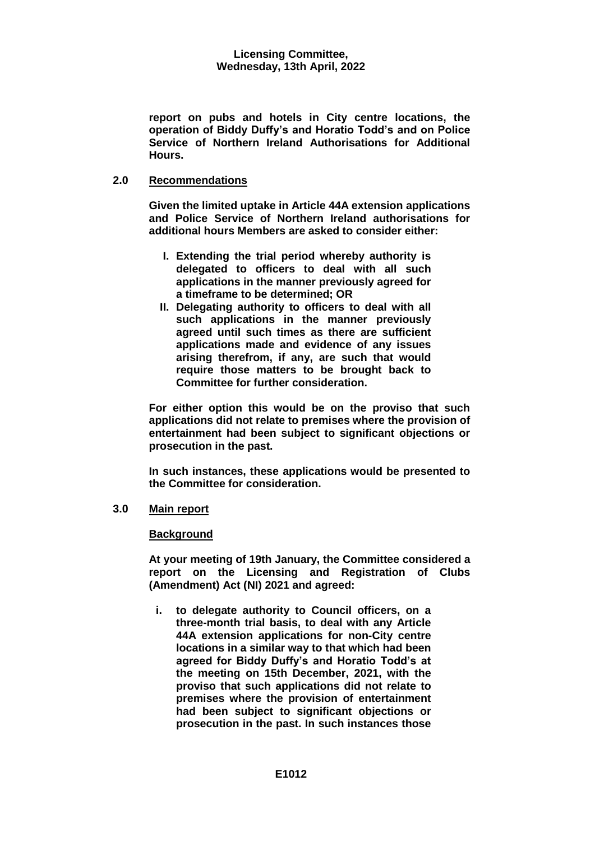**report on pubs and hotels in City centre locations, the operation of Biddy Duffy's and Horatio Todd's and on Police Service of Northern Ireland Authorisations for Additional Hours.**

## **2.0 Recommendations**

**Given the limited uptake in Article 44A extension applications and Police Service of Northern Ireland authorisations for additional hours Members are asked to consider either:** 

- **I. Extending the trial period whereby authority is delegated to officers to deal with all such applications in the manner previously agreed for a timeframe to be determined; OR**
- **II. Delegating authority to officers to deal with all such applications in the manner previously agreed until such times as there are sufficient applications made and evidence of any issues arising therefrom, if any, are such that would require those matters to be brought back to Committee for further consideration.**

**For either option this would be on the proviso that such applications did not relate to premises where the provision of entertainment had been subject to significant objections or prosecution in the past.**

**In such instances, these applications would be presented to the Committee for consideration.**

## **3.0 Main report**

## **Background**

**At your meeting of 19th January, the Committee considered a report on the Licensing and Registration of Clubs (Amendment) Act (NI) 2021 and agreed:**

**i. to delegate authority to Council officers, on a three-month trial basis, to deal with any Article 44A extension applications for non-City centre locations in a similar way to that which had been agreed for Biddy Duffy's and Horatio Todd's at the meeting on 15th December, 2021, with the proviso that such applications did not relate to premises where the provision of entertainment had been subject to significant objections or prosecution in the past. In such instances those**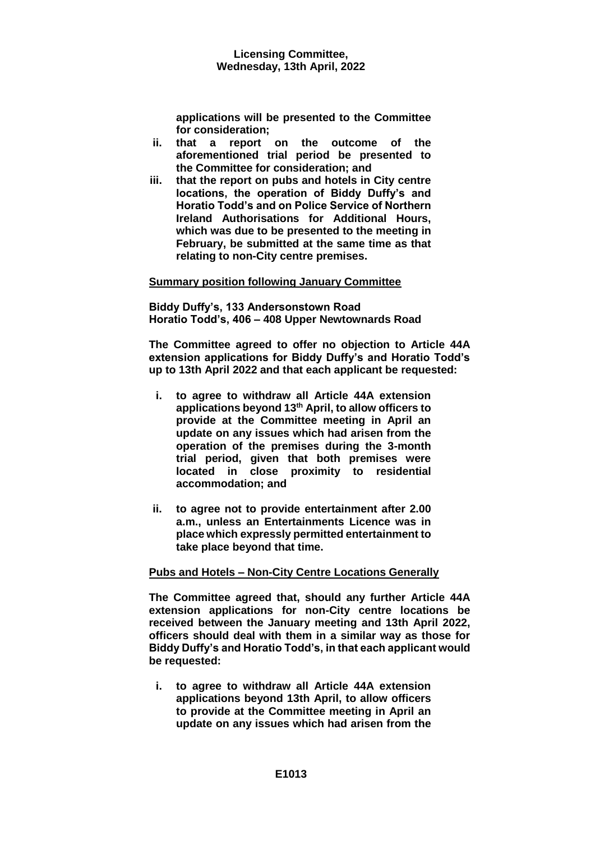**applications will be presented to the Committee for consideration;**

- **ii. that a report on the outcome of the aforementioned trial period be presented to the Committee for consideration; and**
- **iii. that the report on pubs and hotels in City centre locations, the operation of Biddy Duffy's and Horatio Todd's and on Police Service of Northern Ireland Authorisations for Additional Hours, which was due to be presented to the meeting in February, be submitted at the same time as that relating to non-City centre premises.**

## **Summary position following January Committee**

**Biddy Duffy's, 133 Andersonstown Road Horatio Todd's, 406 – 408 Upper Newtownards Road**

**The Committee agreed to offer no objection to Article 44A extension applications for Biddy Duffy's and Horatio Todd's up to 13th April 2022 and that each applicant be requested:**

- **i. to agree to withdraw all Article 44A extension applications beyond 13th April, to allow officers to provide at the Committee meeting in April an update on any issues which had arisen from the operation of the premises during the 3-month trial period, given that both premises were located in close proximity to residential accommodation; and**
- **ii. to agree not to provide entertainment after 2.00 a.m., unless an Entertainments Licence was in place which expressly permitted entertainment to take place beyond that time.**

# **Pubs and Hotels – Non-City Centre Locations Generally**

**The Committee agreed that, should any further Article 44A extension applications for non-City centre locations be received between the January meeting and 13th April 2022, officers should deal with them in a similar way as those for Biddy Duffy's and Horatio Todd's, in that each applicant would be requested:**

**i. to agree to withdraw all Article 44A extension applications beyond 13th April, to allow officers to provide at the Committee meeting in April an update on any issues which had arisen from the**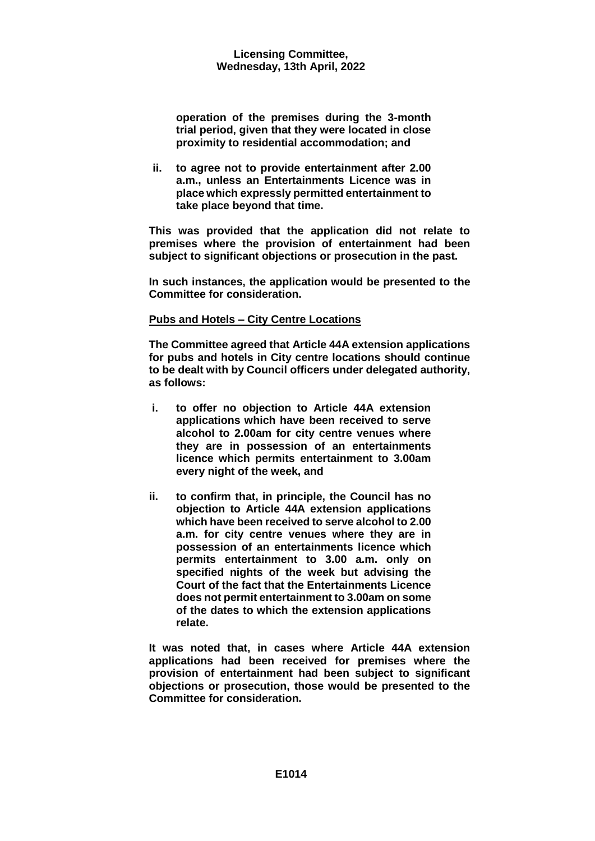**operation of the premises during the 3-month trial period, given that they were located in close proximity to residential accommodation; and** 

**ii. to agree not to provide entertainment after 2.00 a.m., unless an Entertainments Licence was in place which expressly permitted entertainment to take place beyond that time.**

**This was provided that the application did not relate to premises where the provision of entertainment had been subject to significant objections or prosecution in the past.** 

**In such instances, the application would be presented to the Committee for consideration.**

## **Pubs and Hotels – City Centre Locations**

**The Committee agreed that Article 44A extension applications for pubs and hotels in City centre locations should continue to be dealt with by Council officers under delegated authority, as follows:**

- **i. to offer no objection to Article 44A extension applications which have been received to serve alcohol to 2.00am for city centre venues where they are in possession of an entertainments licence which permits entertainment to 3.00am every night of the week, and**
- **ii. to confirm that, in principle, the Council has no objection to Article 44A extension applications which have been received to serve alcohol to 2.00 a.m. for city centre venues where they are in possession of an entertainments licence which permits entertainment to 3.00 a.m. only on specified nights of the week but advising the Court of the fact that the Entertainments Licence does not permit entertainment to 3.00am on some of the dates to which the extension applications relate.**

**It was noted that, in cases where Article 44A extension applications had been received for premises where the provision of entertainment had been subject to significant objections or prosecution, those would be presented to the Committee for consideration.**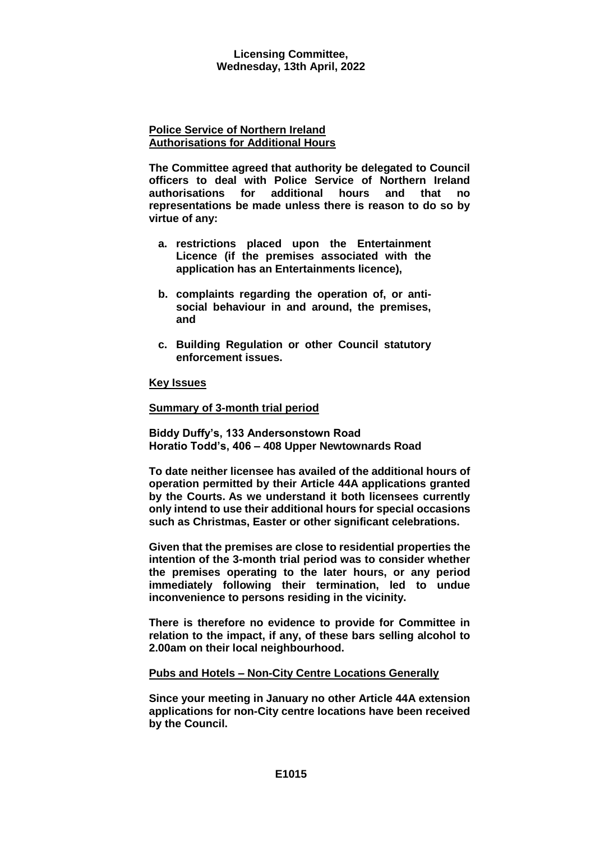#### **Police Service of Northern Ireland Authorisations for Additional Hours**

**The Committee agreed that authority be delegated to Council officers to deal with Police Service of Northern Ireland authorisations for additional hours and that no representations be made unless there is reason to do so by virtue of any:**

- **a. restrictions placed upon the Entertainment Licence (if the premises associated with the application has an Entertainments licence),**
- **b. complaints regarding the operation of, or antisocial behaviour in and around, the premises, and**
- **c. Building Regulation or other Council statutory enforcement issues.**

## **Key Issues**

## **Summary of 3-month trial period**

**Biddy Duffy's, 133 Andersonstown Road Horatio Todd's, 406 – 408 Upper Newtownards Road**

**To date neither licensee has availed of the additional hours of operation permitted by their Article 44A applications granted by the Courts. As we understand it both licensees currently only intend to use their additional hours for special occasions such as Christmas, Easter or other significant celebrations.**

**Given that the premises are close to residential properties the intention of the 3-month trial period was to consider whether the premises operating to the later hours, or any period immediately following their termination, led to undue inconvenience to persons residing in the vicinity.**

**There is therefore no evidence to provide for Committee in relation to the impact, if any, of these bars selling alcohol to 2.00am on their local neighbourhood.** 

## **Pubs and Hotels – Non-City Centre Locations Generally**

**Since your meeting in January no other Article 44A extension applications for non-City centre locations have been received by the Council.**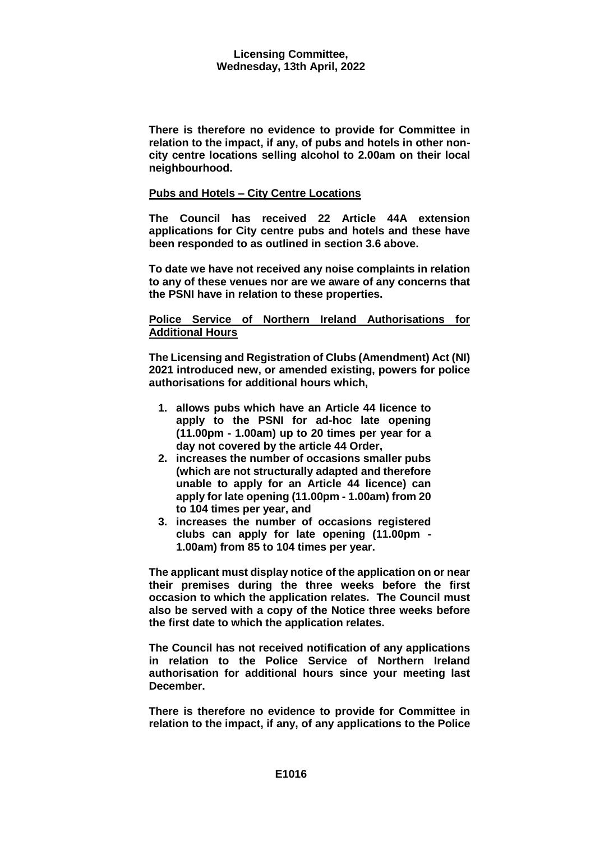**There is therefore no evidence to provide for Committee in relation to the impact, if any, of pubs and hotels in other noncity centre locations selling alcohol to 2.00am on their local neighbourhood.**

## **Pubs and Hotels – City Centre Locations**

**The Council has received 22 Article 44A extension applications for City centre pubs and hotels and these have been responded to as outlined in section 3.6 above.**

**To date we have not received any noise complaints in relation to any of these venues nor are we aware of any concerns that the PSNI have in relation to these properties.**

## **Police Service of Northern Ireland Authorisations for Additional Hours**

**The Licensing and Registration of Clubs (Amendment) Act (NI) 2021 introduced new, or amended existing, powers for police authorisations for additional hours which,**

- **1. allows pubs which have an Article 44 licence to apply to the PSNI for ad-hoc late opening (11.00pm - 1.00am) up to 20 times per year for a day not covered by the article 44 Order,**
- **2. increases the number of occasions smaller pubs (which are not structurally adapted and therefore unable to apply for an Article 44 licence) can apply for late opening (11.00pm - 1.00am) from 20 to 104 times per year, and**
- **3. increases the number of occasions registered clubs can apply for late opening (11.00pm - 1.00am) from 85 to 104 times per year.**

**The applicant must display notice of the application on or near their premises during the three weeks before the first occasion to which the application relates. The Council must also be served with a copy of the Notice three weeks before the first date to which the application relates.**

**The Council has not received notification of any applications in relation to the Police Service of Northern Ireland authorisation for additional hours since your meeting last December.**

**There is therefore no evidence to provide for Committee in relation to the impact, if any, of any applications to the Police**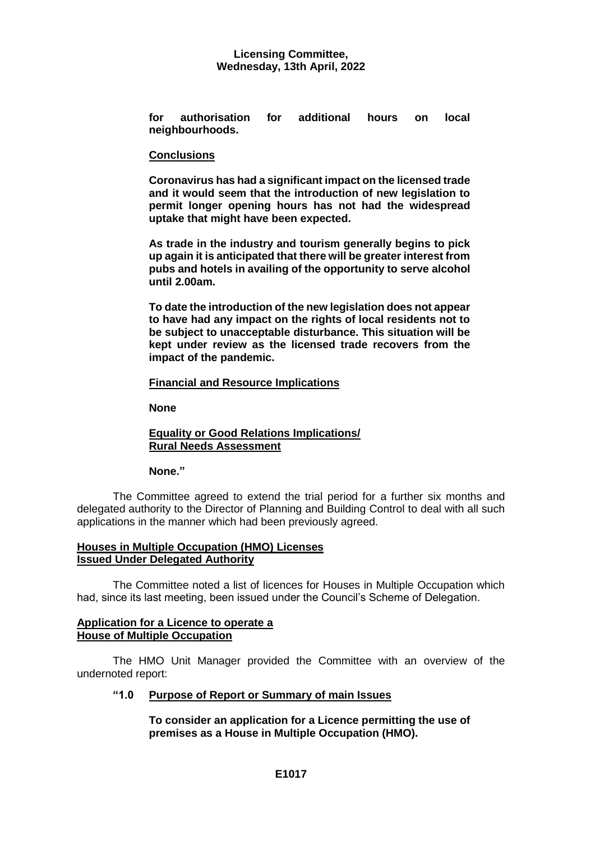**for authorisation for additional hours on local neighbourhoods.**

## **Conclusions**

**Coronavirus has had a significant impact on the licensed trade and it would seem that the introduction of new legislation to permit longer opening hours has not had the widespread uptake that might have been expected.**

**As trade in the industry and tourism generally begins to pick up again it is anticipated that there will be greater interest from pubs and hotels in availing of the opportunity to serve alcohol until 2.00am.**

**To date the introduction of the new legislation does not appear to have had any impact on the rights of local residents not to be subject to unacceptable disturbance. This situation will be kept under review as the licensed trade recovers from the impact of the pandemic.**

## **Financial and Resource Implications**

**None**

## **Equality or Good Relations Implications/ Rural Needs Assessment**

## **None."**

The Committee agreed to extend the trial period for a further six months and delegated authority to the Director of Planning and Building Control to deal with all such applications in the manner which had been previously agreed.

## **Houses in Multiple Occupation (HMO) Licenses Issued Under Delegated Authority**

The Committee noted a list of licences for Houses in Multiple Occupation which had, since its last meeting, been issued under the Council's Scheme of Delegation.

## **Application for a Licence to operate a House of Multiple Occupation**

The HMO Unit Manager provided the Committee with an overview of the undernoted report:

## **"1.0 Purpose of Report or Summary of main Issues**

**To consider an application for a Licence permitting the use of premises as a House in Multiple Occupation (HMO).**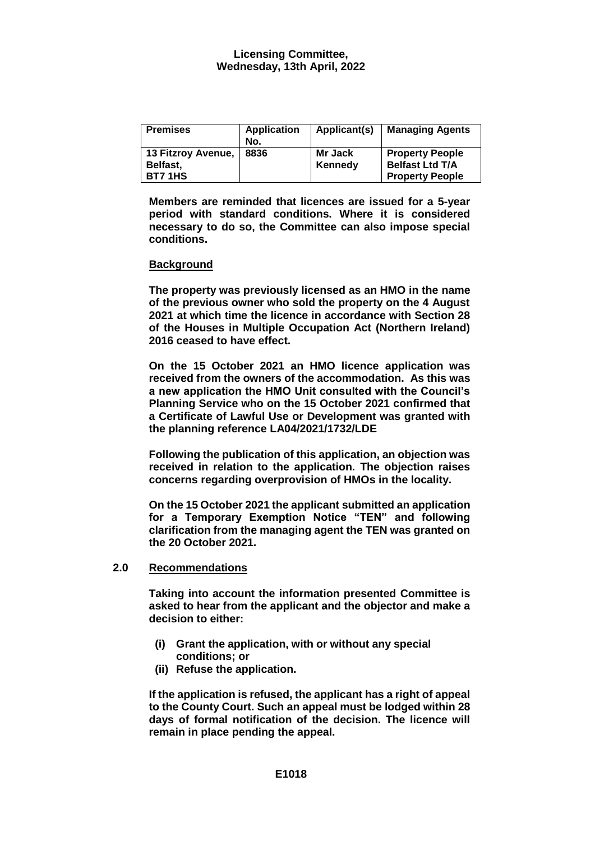| <b>Premises</b>    | <b>Application</b><br>No. | Applicant(s) | <b>Managing Agents</b> |
|--------------------|---------------------------|--------------|------------------------|
| 13 Fitzroy Avenue, | 8836                      | Mr Jack      | <b>Property People</b> |
| Belfast,           |                           | Kennedy      | <b>Belfast Ltd T/A</b> |
| <b>BT7 1HS</b>     |                           |              | <b>Property People</b> |

**Members are reminded that licences are issued for a 5-year period with standard conditions. Where it is considered necessary to do so, the Committee can also impose special conditions.** 

## **Background**

**The property was previously licensed as an HMO in the name of the previous owner who sold the property on the 4 August 2021 at which time the licence in accordance with Section 28 of the Houses in Multiple Occupation Act (Northern Ireland) 2016 ceased to have effect.** 

**On the 15 October 2021 an HMO licence application was received from the owners of the accommodation. As this was a new application the HMO Unit consulted with the Council's Planning Service who on the 15 October 2021 confirmed that a Certificate of Lawful Use or Development was granted with the planning reference LA04/2021/1732/LDE** 

**Following the publication of this application, an objection was received in relation to the application. The objection raises concerns regarding overprovision of HMOs in the locality.**

**On the 15 October 2021 the applicant submitted an application for a Temporary Exemption Notice "TEN" and following clarification from the managing agent the TEN was granted on the 20 October 2021.**

# **2.0 Recommendations**

**Taking into account the information presented Committee is asked to hear from the applicant and the objector and make a decision to either:**

- **(i) Grant the application, with or without any special conditions; or**
- **(ii) Refuse the application.**

**If the application is refused, the applicant has a right of appeal to the County Court. Such an appeal must be lodged within 28 days of formal notification of the decision. The licence will remain in place pending the appeal.**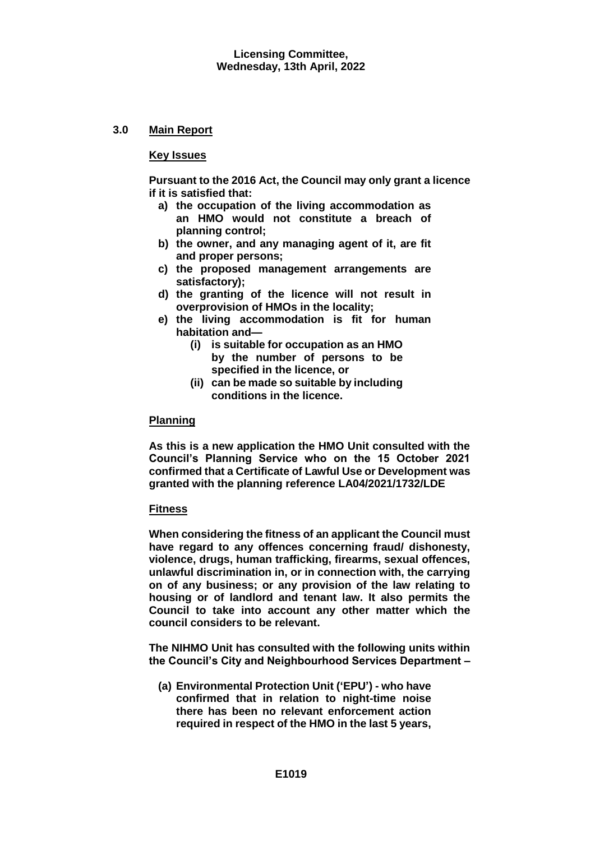# **3.0 Main Report**

## **Key Issues**

**Pursuant to the 2016 Act, the Council may only grant a licence if it is satisfied that:** 

- **a) the occupation of the living accommodation as an HMO would not constitute a breach of planning control;**
- **b) the owner, and any managing agent of it, are fit and proper persons;**
- **c) the proposed management arrangements are satisfactory);**
- **d) the granting of the licence will not result in overprovision of HMOs in the locality;**
- **e) the living accommodation is fit for human habitation and—**
	- **(i) is suitable for occupation as an HMO**
	- **by the number of persons to be specified in the licence, or**
	- **(ii) can be made so suitable by including conditions in the licence.**

## **Planning**

**As this is a new application the HMO Unit consulted with the Council's Planning Service who on the 15 October 2021 confirmed that a Certificate of Lawful Use or Development was granted with the planning reference LA04/2021/1732/LDE**

## **Fitness**

**When considering the fitness of an applicant the Council must have regard to any offences concerning fraud/ dishonesty, violence, drugs, human trafficking, firearms, sexual offences, unlawful discrimination in, or in connection with, the carrying on of any business; or any provision of the law relating to housing or of landlord and tenant law. It also permits the Council to take into account any other matter which the council considers to be relevant.**

**The NIHMO Unit has consulted with the following units within the Council's City and Neighbourhood Services Department –**

**(a) Environmental Protection Unit ('EPU') - who have confirmed that in relation to night-time noise there has been no relevant enforcement action required in respect of the HMO in the last 5 years,**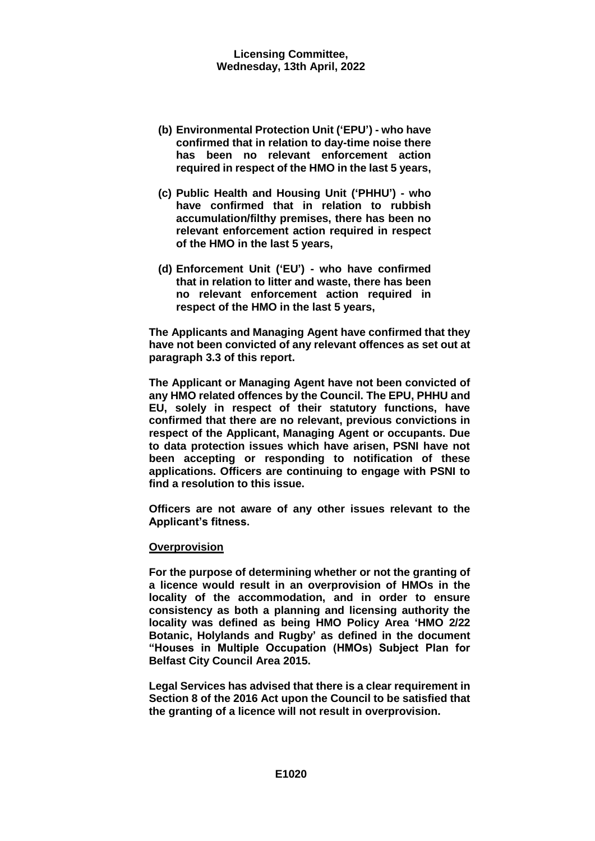- **(b) Environmental Protection Unit ('EPU') - who have confirmed that in relation to day-time noise there has been no relevant enforcement action required in respect of the HMO in the last 5 years,**
- **(c) Public Health and Housing Unit ('PHHU') - who have confirmed that in relation to rubbish accumulation/filthy premises, there has been no relevant enforcement action required in respect of the HMO in the last 5 years,**
- **(d) Enforcement Unit ('EU') - who have confirmed that in relation to litter and waste, there has been no relevant enforcement action required in respect of the HMO in the last 5 years,**

**The Applicants and Managing Agent have confirmed that they have not been convicted of any relevant offences as set out at paragraph 3.3 of this report.** 

**The Applicant or Managing Agent have not been convicted of any HMO related offences by the Council. The EPU, PHHU and EU, solely in respect of their statutory functions, have confirmed that there are no relevant, previous convictions in respect of the Applicant, Managing Agent or occupants. Due to data protection issues which have arisen, PSNI have not been accepting or responding to notification of these applications. Officers are continuing to engage with PSNI to find a resolution to this issue.**

**Officers are not aware of any other issues relevant to the Applicant's fitness.** 

## **Overprovision**

**For the purpose of determining whether or not the granting of a licence would result in an overprovision of HMOs in the locality of the accommodation, and in order to ensure consistency as both a planning and licensing authority the locality was defined as being HMO Policy Area 'HMO 2/22 Botanic, Holylands and Rugby' as defined in the document "Houses in Multiple Occupation (HMOs) Subject Plan for Belfast City Council Area 2015.**

**Legal Services has advised that there is a clear requirement in Section 8 of the 2016 Act upon the Council to be satisfied that the granting of a licence will not result in overprovision.**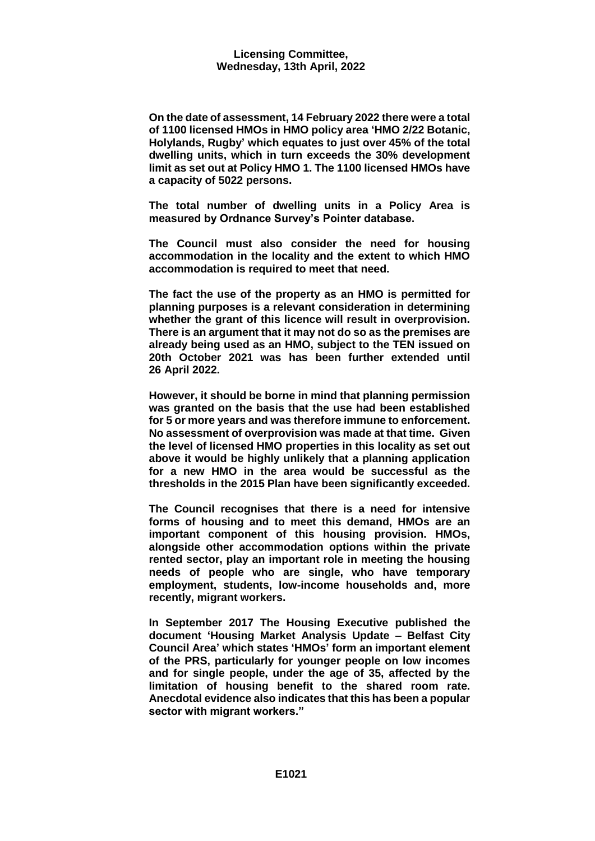**On the date of assessment, 14 February 2022 there were a total of 1100 licensed HMOs in HMO policy area 'HMO 2/22 Botanic, Holylands, Rugby' which equates to just over 45% of the total dwelling units, which in turn exceeds the 30% development limit as set out at Policy HMO 1. The 1100 licensed HMOs have a capacity of 5022 persons.** 

**The total number of dwelling units in a Policy Area is measured by Ordnance Survey's Pointer database.**

**The Council must also consider the need for housing accommodation in the locality and the extent to which HMO accommodation is required to meet that need.**

**The fact the use of the property as an HMO is permitted for planning purposes is a relevant consideration in determining whether the grant of this licence will result in overprovision. There is an argument that it may not do so as the premises are already being used as an HMO, subject to the TEN issued on 20th October 2021 was has been further extended until 26 April 2022.** 

**However, it should be borne in mind that planning permission was granted on the basis that the use had been established for 5 or more years and was therefore immune to enforcement. No assessment of overprovision was made at that time. Given the level of licensed HMO properties in this locality as set out above it would be highly unlikely that a planning application for a new HMO in the area would be successful as the thresholds in the 2015 Plan have been significantly exceeded.**

**The Council recognises that there is a need for intensive forms of housing and to meet this demand, HMOs are an important component of this housing provision. HMOs, alongside other accommodation options within the private rented sector, play an important role in meeting the housing needs of people who are single, who have temporary employment, students, low-income households and, more recently, migrant workers.**

**In September 2017 The Housing Executive published the document 'Housing Market Analysis Update – Belfast City Council Area' which states 'HMOs' form an important element of the PRS, particularly for younger people on low incomes and for single people, under the age of 35, affected by the limitation of housing benefit to the shared room rate. Anecdotal evidence also indicates that this has been a popular sector with migrant workers."**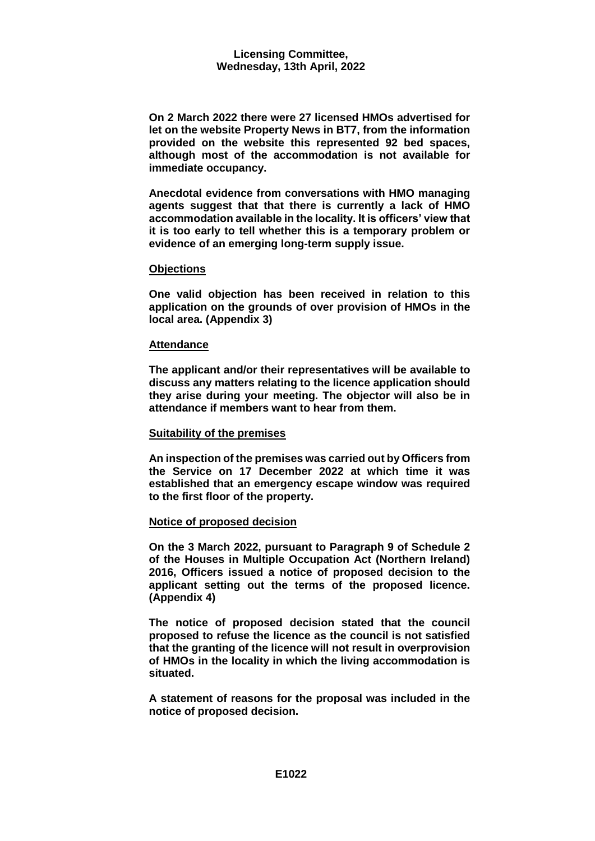**On 2 March 2022 there were 27 licensed HMOs advertised for let on the website Property News in BT7, from the information provided on the website this represented 92 bed spaces, although most of the accommodation is not available for immediate occupancy.** 

**Anecdotal evidence from conversations with HMO managing agents suggest that that there is currently a lack of HMO accommodation available in the locality. It is officers' view that it is too early to tell whether this is a temporary problem or evidence of an emerging long-term supply issue.**

## **Objections**

**One valid objection has been received in relation to this application on the grounds of over provision of HMOs in the local area. (Appendix 3)**

## **Attendance**

**The applicant and/or their representatives will be available to discuss any matters relating to the licence application should they arise during your meeting. The objector will also be in attendance if members want to hear from them.**

## **Suitability of the premises**

**An inspection of the premises was carried out by Officers from the Service on 17 December 2022 at which time it was established that an emergency escape window was required to the first floor of the property.**

## **Notice of proposed decision**

**On the 3 March 2022, pursuant to Paragraph 9 of Schedule 2 of the Houses in Multiple Occupation Act (Northern Ireland) 2016, Officers issued a notice of proposed decision to the applicant setting out the terms of the proposed licence. (Appendix 4)**

**The notice of proposed decision stated that the council proposed to refuse the licence as the council is not satisfied that the granting of the licence will not result in overprovision of HMOs in the locality in which the living accommodation is situated.**

**A statement of reasons for the proposal was included in the notice of proposed decision.**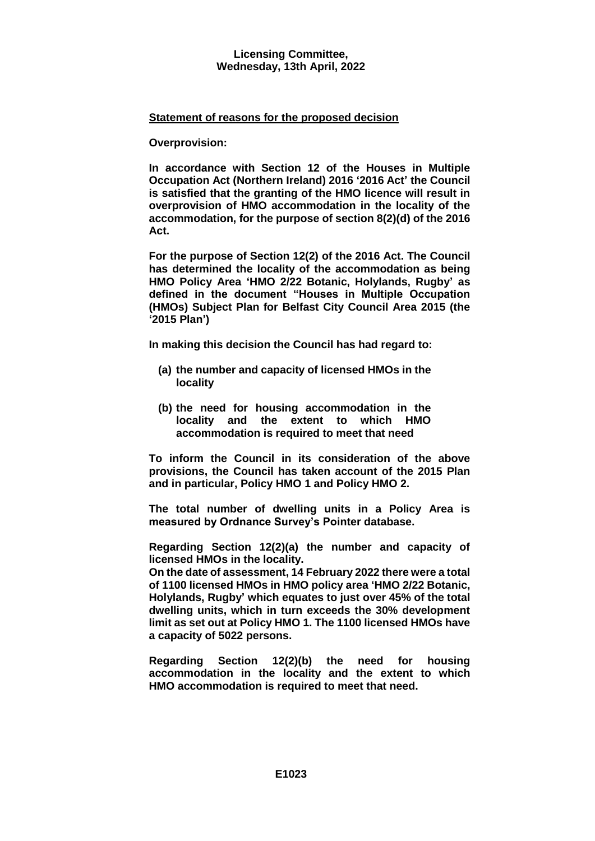# **Statement of reasons for the proposed decision**

**Overprovision:** 

**In accordance with Section 12 of the Houses in Multiple Occupation Act (Northern Ireland) 2016 '2016 Act' the Council is satisfied that the granting of the HMO licence will result in overprovision of HMO accommodation in the locality of the accommodation, for the purpose of section 8(2)(d) of the 2016 Act.** 

**For the purpose of Section 12(2) of the 2016 Act. The Council has determined the locality of the accommodation as being HMO Policy Area 'HMO 2/22 Botanic, Holylands, Rugby' as defined in the document "Houses in Multiple Occupation (HMOs) Subject Plan for Belfast City Council Area 2015 (the '2015 Plan')**

**In making this decision the Council has had regard to:**

- **(a) the number and capacity of licensed HMOs in the locality**
- **(b) the need for housing accommodation in the locality and the extent to which HMO accommodation is required to meet that need**

**To inform the Council in its consideration of the above provisions, the Council has taken account of the 2015 Plan and in particular, Policy HMO 1 and Policy HMO 2.** 

**The total number of dwelling units in a Policy Area is measured by Ordnance Survey's Pointer database.**

**Regarding Section 12(2)(a) the number and capacity of licensed HMOs in the locality.**

**On the date of assessment, 14 February 2022 there were a total of 1100 licensed HMOs in HMO policy area 'HMO 2/22 Botanic, Holylands, Rugby' which equates to just over 45% of the total dwelling units, which in turn exceeds the 30% development limit as set out at Policy HMO 1. The 1100 licensed HMOs have a capacity of 5022 persons.** 

**Regarding Section 12(2)(b) the need for housing accommodation in the locality and the extent to which HMO accommodation is required to meet that need.**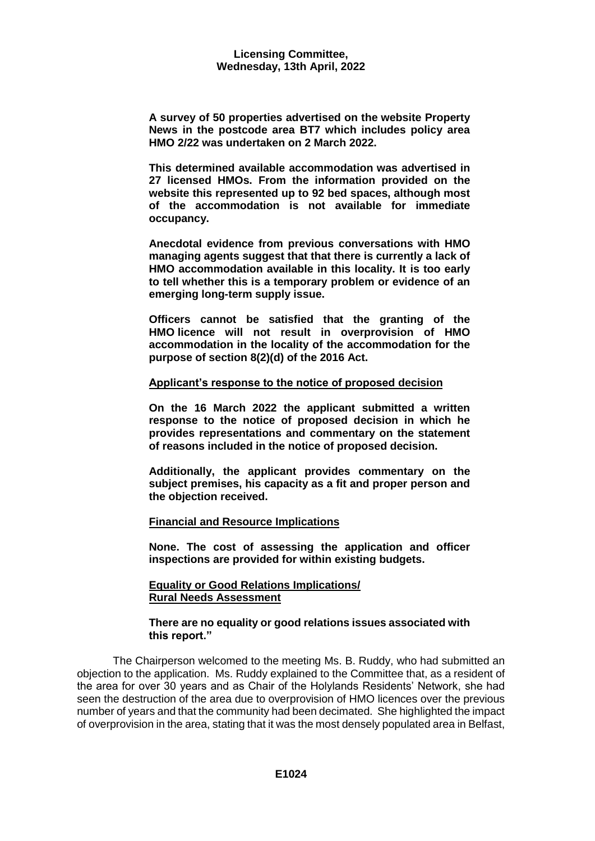**A survey of 50 properties advertised on the website Property News in the postcode area BT7 which includes policy area HMO 2/22 was undertaken on 2 March 2022.**

**This determined available accommodation was advertised in 27 licensed HMOs. From the information provided on the website this represented up to 92 bed spaces, although most of the accommodation is not available for immediate occupancy.** 

**Anecdotal evidence from previous conversations with HMO managing agents suggest that that there is currently a lack of HMO accommodation available in this locality. It is too early to tell whether this is a temporary problem or evidence of an emerging long-term supply issue.**

**Officers cannot be satisfied that the granting of the HMO licence will not result in overprovision of HMO accommodation in the locality of the accommodation for the purpose of section 8(2)(d) of the 2016 Act.**

## **Applicant's response to the notice of proposed decision**

**On the 16 March 2022 the applicant submitted a written response to the notice of proposed decision in which he provides representations and commentary on the statement of reasons included in the notice of proposed decision.**

**Additionally, the applicant provides commentary on the subject premises, his capacity as a fit and proper person and the objection received.**

## **Financial and Resource Implications**

**None. The cost of assessing the application and officer inspections are provided for within existing budgets.**

## **Equality or Good Relations Implications/ Rural Needs Assessment**

#### **There are no equality or good relations issues associated with this report."**

The Chairperson welcomed to the meeting Ms. B. Ruddy, who had submitted an objection to the application. Ms. Ruddy explained to the Committee that, as a resident of the area for over 30 years and as Chair of the Holylands Residents' Network, she had seen the destruction of the area due to overprovision of HMO licences over the previous number of years and that the community had been decimated. She highlighted the impact of overprovision in the area, stating that it was the most densely populated area in Belfast,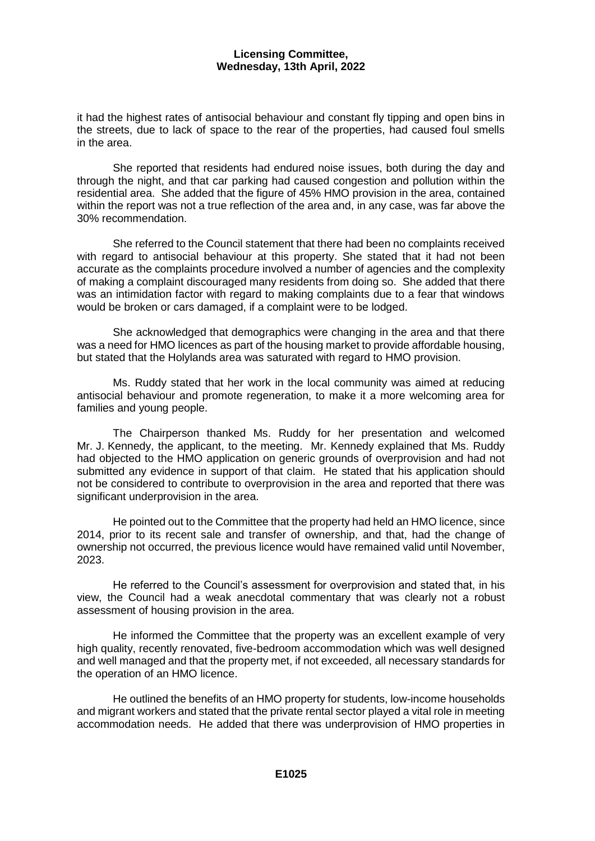it had the highest rates of antisocial behaviour and constant fly tipping and open bins in the streets, due to lack of space to the rear of the properties, had caused foul smells in the area.

She reported that residents had endured noise issues, both during the day and through the night, and that car parking had caused congestion and pollution within the residential area. She added that the figure of 45% HMO provision in the area, contained within the report was not a true reflection of the area and, in any case, was far above the 30% recommendation.

She referred to the Council statement that there had been no complaints received with regard to antisocial behaviour at this property. She stated that it had not been accurate as the complaints procedure involved a number of agencies and the complexity of making a complaint discouraged many residents from doing so. She added that there was an intimidation factor with regard to making complaints due to a fear that windows would be broken or cars damaged, if a complaint were to be lodged.

She acknowledged that demographics were changing in the area and that there was a need for HMO licences as part of the housing market to provide affordable housing, but stated that the Holylands area was saturated with regard to HMO provision.

Ms. Ruddy stated that her work in the local community was aimed at reducing antisocial behaviour and promote regeneration, to make it a more welcoming area for families and young people.

The Chairperson thanked Ms. Ruddy for her presentation and welcomed Mr. J. Kennedy, the applicant, to the meeting. Mr. Kennedy explained that Ms. Ruddy had objected to the HMO application on generic grounds of overprovision and had not submitted any evidence in support of that claim. He stated that his application should not be considered to contribute to overprovision in the area and reported that there was significant underprovision in the area.

He pointed out to the Committee that the property had held an HMO licence, since 2014, prior to its recent sale and transfer of ownership, and that, had the change of ownership not occurred, the previous licence would have remained valid until November, 2023.

He referred to the Council's assessment for overprovision and stated that, in his view, the Council had a weak anecdotal commentary that was clearly not a robust assessment of housing provision in the area.

He informed the Committee that the property was an excellent example of very high quality, recently renovated, five-bedroom accommodation which was well designed and well managed and that the property met, if not exceeded, all necessary standards for the operation of an HMO licence.

He outlined the benefits of an HMO property for students, low-income households and migrant workers and stated that the private rental sector played a vital role in meeting accommodation needs. He added that there was underprovision of HMO properties in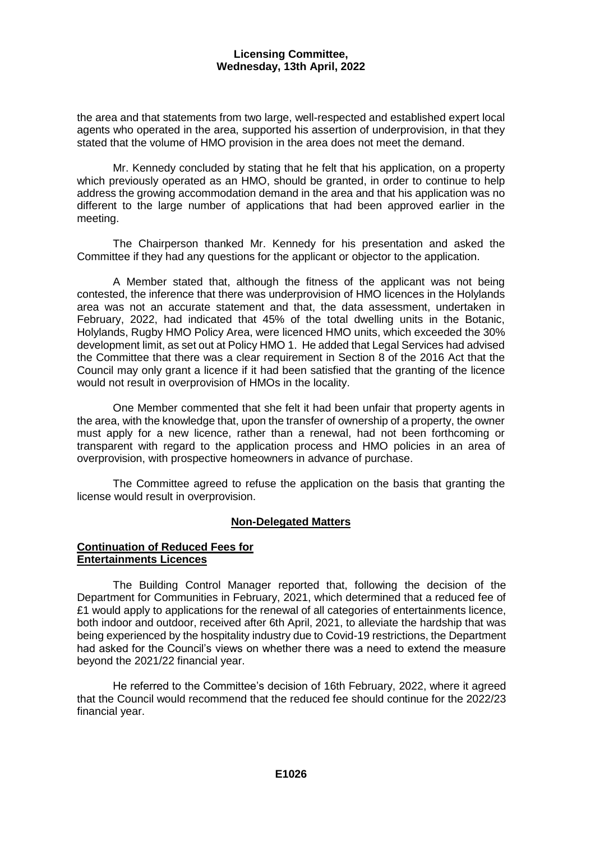the area and that statements from two large, well-respected and established expert local agents who operated in the area, supported his assertion of underprovision, in that they stated that the volume of HMO provision in the area does not meet the demand.

Mr. Kennedy concluded by stating that he felt that his application, on a property which previously operated as an HMO, should be granted, in order to continue to help address the growing accommodation demand in the area and that his application was no different to the large number of applications that had been approved earlier in the meeting.

The Chairperson thanked Mr. Kennedy for his presentation and asked the Committee if they had any questions for the applicant or objector to the application.

A Member stated that, although the fitness of the applicant was not being contested, the inference that there was underprovision of HMO licences in the Holylands area was not an accurate statement and that, the data assessment, undertaken in February, 2022, had indicated that 45% of the total dwelling units in the Botanic, Holylands, Rugby HMO Policy Area, were licenced HMO units, which exceeded the 30% development limit, as set out at Policy HMO 1. He added that Legal Services had advised the Committee that there was a clear requirement in Section 8 of the 2016 Act that the Council may only grant a licence if it had been satisfied that the granting of the licence would not result in overprovision of HMOs in the locality.

One Member commented that she felt it had been unfair that property agents in the area, with the knowledge that, upon the transfer of ownership of a property, the owner must apply for a new licence, rather than a renewal, had not been forthcoming or transparent with regard to the application process and HMO policies in an area of overprovision, with prospective homeowners in advance of purchase.

The Committee agreed to refuse the application on the basis that granting the license would result in overprovision.

# **Non-Delegated Matters**

## **Continuation of Reduced Fees for Entertainments Licences**

The Building Control Manager reported that, following the decision of the Department for Communities in February, 2021, which determined that a reduced fee of £1 would apply to applications for the renewal of all categories of entertainments licence, both indoor and outdoor, received after 6th April, 2021, to alleviate the hardship that was being experienced by the hospitality industry due to Covid-19 restrictions, the Department had asked for the Council's views on whether there was a need to extend the measure beyond the 2021/22 financial year.

He referred to the Committee's decision of 16th February, 2022, where it agreed that the Council would recommend that the reduced fee should continue for the 2022/23 financial year.